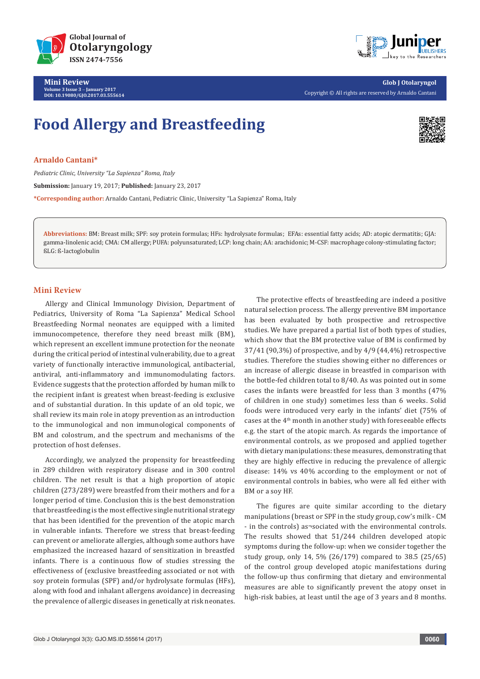

**Mini Review Volume 3 Issue 3** - **January 2017 DOI: [10.19080/GJO.2017.03.555614](http://dx.doi.org/10.19080/GJO.2017.03.555614
)**



**Glob J Otolaryngol** Copyright © All rights are reserved by Arnaldo Cantani

## **Food Allergy and Breastfeeding**



**Arnaldo Cantani\***

*Pediatric Clinic, University "La Sapienza" Roma, Italy* **Submission:** January 19, 2017; **Published:** January 23, 2017 **\*Corresponding author:** Arnaldo Cantani, Pediatric Clinic, University "La Sapienza" Roma, Italy

**Abbreviations:** BM: Breast milk; SPF: soy protein formulas; HFs: hydrolysate formulas; EFAs: essential fatty acids; AD: atopic dermatitis; GJA: gamma-linolenic acid; CMA: CM allergy; PUFA: polyunsaturated; LCP: long chain; AA: arachidonic; M-CSF: macrophage colony-stimulating factor; ßLG: ß-lactoglobulin

## **Mini Review**

Allergy and Clinical Immunology Division, Department of Pediatrics, University of Roma "La Sapienza" Medical School Breastfeeding Normal neonates are equipped with a limited immunocompetence, therefore they need breast milk (BM), which represent an excellent immune protection for the neonate during the critical period of intestinal vulnerability, due to a great variety of functionally interactive immunological, antibacterial, antiviral, anti-inflammatory and immunomodulating factors. Evidence suggests that the protection afforded by human milk to the recipient infant is greatest when breast-feeding is exclusive and of substantial duration. In this update of an old topic, we shall review its main role in atopy prevention as an introduction to the immunological and non immunological components of BM and colostrum, and the spectrum and mechanisms of the protection of host defenses.

Accordingly, we analyzed the propensity for breastfeeding in 289 children with respiratory disease and in 300 control children. The net result is that a high proportion of atopic children (273/289) were breastfed from their mothers and for a longer period of time. Conclusion this is the best demonstration that breastfeeding is the most effective single nutritional strategy that has been identified for the prevention of the atopic march in vulnerable infants. Therefore we stress that breast-feeding can prevent or ameliorate allergies, although some authors have emphasized the increased hazard of sensitization in breastfed infants. There is a continuous flow of studies stressing the effectiveness of (exclusive breastfeeding associated or not with soy protein formulas (SPF) and/or hydrolysate formulas (HFs), along with food and inhalant allergens avoidance) in decreasing the prevalence of allergic diseases in genetically at risk neonates.

The protective effects of breastfeeding are indeed a positive natural selection process. The allergy preventive BM importance has been evaluated by both prospective and retrospective studies. We have prepared a partial list of both types of studies, which show that the BM protective value of BM is confirmed by 37/41 (90,3%) of prospective, and by 4/9 (44,4%) retrospective studies. Therefore the studies showing either no differences or an increase of allergic disease in breastfed in comparison with the bottle-fed children total to 8/40. As was pointed out in some cases the infants were breastfed for less than 3 months (47% of children in one study) sometimes less than 6 weeks. Solid foods were introduced very early in the infants' diet (75% of cases at the 4th month in another study) with foreseeable effects e.g. the start of the atopic march. As regards the importance of environmental controls, as we proposed and applied together with dietary manipulations: these measures, demonstrating that they are highly effective in reducing the prevalence of allergic disease: 14% vs 40% according to the employment or not of environmental controls in babies, who were all fed either with BM or a soy HF.

The figures are quite similar according to the dietary manipulations (breast or SPF in the study group, cow's milk - CM - in the controls) as¬sociated with the environmental controls. The results showed that 51/244 children developed atopic symptoms during the follow-up: when we consider together the study group, only 14, 5% (26/179) compared to 38.5 (25/65) of the control group developed atopic manifestations during the follow-up thus confirming that dietary and environmental measures are able to significantly prevent the atopy onset in high-risk babies, at least until the age of 3 years and 8 months.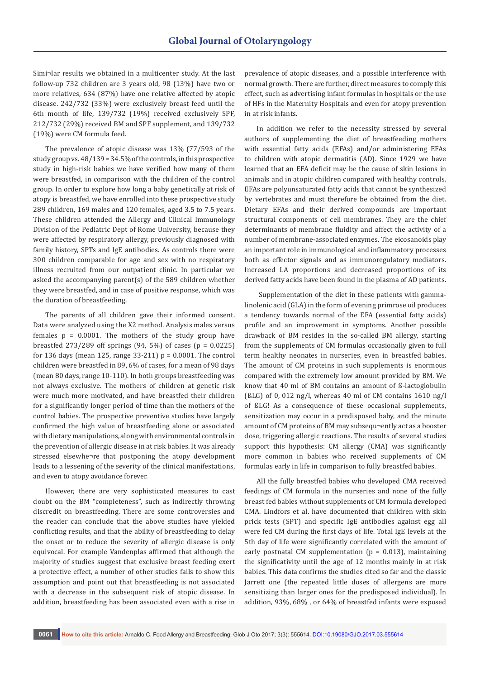Simi¬lar results we obtained in a multicenter study. At the last follow-up 732 children are 3 years old, 98 (13%) have two or more relatives, 634 (87%) have one relative affected by atopic disease. 242/732 (33%) were exclusively breast feed until the 6th month of life, 139/732 (19%) received exclusively SPF, 212/732 (29%) received BM and SPF supplement, and 139/732 (19%) were CM formula feed.

The prevalence of atopic disease was 13% (77/593 of the study group vs. 48/139 = 34.5% of the controls, in this prospective study in high-risk babies we have verified how many of them were breastfed, in comparison with the children of the control group. In order to explore how long a baby genetically at risk of atopy is breastfed, we have enrolled into these prospective study 289 children, 169 males and 120 females, aged 3.5 to 7.5 years. These children attended the Allergy and Clinical Immunology Division of the Pediatric Dept of Rome University, because they were affected by respiratory allergy, previously diagnosed with family history, SPTs and IgE antibodies. As controls there were 300 children comparable for age and sex with no respiratory illness recruited from our outpatient clinic. In particular we asked the accompanying parent(s) of the 589 children whether they were breastfed, and in case of positive response, which was the duration of breastfeeding.

The parents of all children gave their informed consent. Data were analyzed using the X2 method. Analysis males versus females  $p = 0.0001$ . The mothers of the study group have breastfed 273/289 off springs  $(94, 5\%)$  of cases  $(p = 0.0225)$ for 136 days (mean 125, range  $33-211$ )  $p = 0.0001$ . The control children were breastfed in 89, 6% of cases, for a mean of 98 days (mean 80 days, range 10-110). In both groups breastfeeding was not always exclusive. The mothers of children at genetic risk were much more motivated, and have breastfed their children for a significantly longer period of time than the mothers of the control babies. The prospective preventive studies have largely confirmed the high value of breastfeeding alone or associated with dietary manipulations, along with environmental controls in the prevention of allergic disease in at risk babies. It was already stressed elsewhe¬re that postponing the atopy development leads to a lessening of the severity of the clinical manifestations, and even to atopy avoidance forever.

However, there are very sophisticated measures to cast doubt on the BM "completeness", such as indirectly throwing discredit on breastfeeding. There are some controversies and the reader can conclude that the above studies have yielded conflicting results, and that the ability of breastfeeding to delay the onset or to reduce the severity of allergic disease is only equivocal. For example Vandenplas affirmed that although the majority of studies suggest that exclusive breast feeding exert a protective effect, a number of other studies fails to show this assumption and point out that breastfeeding is not associated with a decrease in the subsequent risk of atopic disease. In addition, breastfeeding has been associated even with a rise in

prevalence of atopic diseases, and a possible interference with normal growth. There are further, direct measures to comply this effect, such as advertising infant formulas in hospitals or the use of HFs in the Maternity Hospitals and even for atopy prevention in at risk infants.

In addition we refer to the necessity stressed by several authors of supplementing the diet of breastfeeding mothers with essential fatty acids (EFAs) and/or administering EFAs to children with atopic dermatitis (AD). Since 1929 we have learned that an EFA deficit may be the cause of skin lesions in animals and in atopic children compared with healthy controls. EFAs are polyunsaturated fatty acids that cannot be synthesized by vertebrates and must therefore be obtained from the diet. Dietary EFAs and their derived compounds are important structural components of cell membranes. They are the chief determinants of membrane fluidity and affect the activity of a number of membrane-associated enzymes. The eicosanoids play an important role in immunological and inflammatory processes both as effector signals and as immunoregulatory mediators. Increased LA proportions and decreased proportions of its derived fatty acids have been found in the plasma of AD patients.

 Supplementation of the diet in these patients with gammalinolenic acid (GLA) in the form of evening primrose oil produces a tendency towards normal of the EFA (essential fatty acids) profile and an improvement in symptoms. Another possible drawback of BM resides in the so-called BM allergy, starting from the supplements of CM formulas occasionally given to full term healthy neonates in nurseries, even in breastfed babies. The amount of CM proteins in such supplements is enormous compared with the extremely low amount provided by BM. We know that 40 ml of BM contains an amount of ß-lactoglobulin ( $SLG$ ) of 0, 012 ng/l, whereas 40 ml of CM contains 1610 ng/l of ßLG! As a consequence of these occasional supplements, sensitization may occur in a predisposed baby, and the minute amount of CM proteins of BM may subsequ¬ently act as a booster dose, triggering allergic reactions. The results of several studies support this hypothesis: CM allergy (CMA) was significantly more common in babies who received supplements of CM formulas early in life in comparison to fully breastfed babies.

All the fully breastfed babies who developed CMA received feedings of CM formula in the nurseries and none of the fully breast fed babies without supplements of CM formula developed CMA. Lindfors et al. have documented that children with skin prick tests (SPT) and specific IgE antibodies against egg all were fed CM during the first days of life. Total IgE levels at the 5th day of life were significantly correlated with the amount of early postnatal CM supplementation ( $p = 0.013$ ), maintaining the significativity until the age of 12 months mainly in at risk babies. This data confirms the studies cited so far and the classic Jarrett one (the repeated little doses of allergens are more sensitizing than larger ones for the predisposed individual). In addition, 93%, 68% , or 64% of breastfed infants were exposed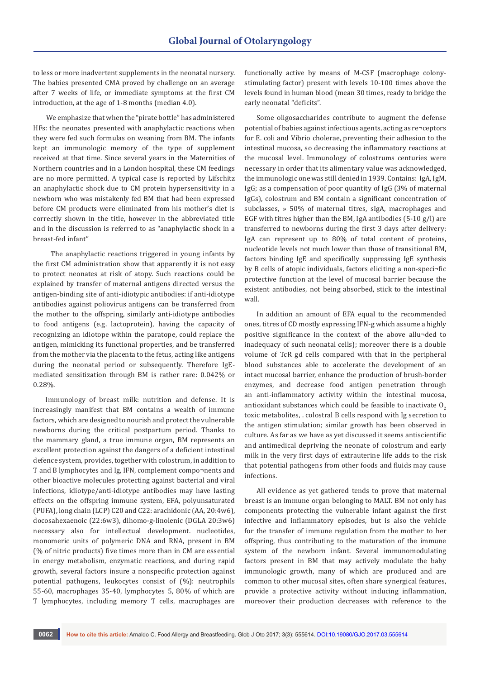to less or more inadvertent supplements in the neonatal nursery. The babies presented CMA proved by challenge on an average after 7 weeks of life, or immediate symptoms at the first CM introduction, at the age of 1-8 months (median 4.0).

 We emphasize that when the "pirate bottle" has administered HFs: the neonates presented with anaphylactic reactions when they were fed such formulas on weaning from BM. The infants kept an immunologic memory of the type of supplement received at that time. Since several years in the Maternities of Northern countries and in a London hospital, these CM feedings are no more permitted. A typical case is reported by Lifschitz an anaphylactic shock due to CM protein hypersensitivity in a newborn who was mistakenly fed BM that had been expressed before CM products were eliminated from his mother's diet is correctly shown in the title, however in the abbreviated title and in the discussion is referred to as "anaphylactic shock in a breast-fed infant"

 The anaphylactic reactions triggered in young infants by the first CM administration show that apparently it is not easy to protect neonates at risk of atopy. Such reactions could be explained by transfer of maternal antigens directed versus the antigen-binding site of anti-idiotypic antibodies: if anti-idiotype antibodies against poliovirus antigens can be transferred from the mother to the offspring, similarly anti-idiotype antibodies to food antigens (e.g. lactoprotein), having the capacity of recognizing an idiotope within the paratope, could replace the antigen, mimicking its functional properties, and be transferred from the mother via the placenta to the fetus, acting like antigens during the neonatal period or subsequently. Therefore IgEmediated sensitization through BM is rather rare: 0.042% or 0.28%.

Immunology of breast milk: nutrition and defense. It is increasingly manifest that BM contains a wealth of immune factors, which are designed to nourish and protect the vulnerable newborns during the critical postpartum period. Thanks to the mammary gland, a true immune organ, BM represents an excellent protection against the dangers of a deficient intestinal defence system, provides, together with colostrum, in addition to T and B lymphocytes and Ig, IFN, complement compo¬nents and other bioactive molecules protecting against bacterial and viral infections, idiotype/anti-idiotype antibodies may have lasting effects on the offspring immune system, EFA, polyunsaturated (PUFA), long chain (LCP) C20 and C22: arachidonic (AA, 20:4w6), docosahexaenoic (22:6w3), dihomo-g-linolenic (DGLA 20:3w6) necessary also for intellectual development. nucleotides, monomeric units of polymeric DNA and RNA, present in BM (% of nitric products) five times more than in CM are essential in energy metabolism, enzymatic reactions, and during rapid growth, several factors insure a nonspecific protection against potential pathogens, leukocytes consist of (%): neutrophils 55-60, macrophages 35-40, lymphocytes 5, 80% of which are T lymphocytes, including memory T cells, macrophages are

functionally active by means of M-CSF (macrophage colonystimulating factor) present with levels 10-100 times above the levels found in human blood (mean 30 times, ready to bridge the early neonatal "deficits".

Some oligosaccharides contribute to augment the defense potential of babies against infectious agents, acting as re¬ceptors for E. coli and Vibrio cholerae, preventing their adhesion to the intestinal mucosa, so decreasing the inflammatory reactions at the mucosal level. Immunology of colostrums centuries were necessary in order that its alimentary value was acknowledged, the immunologic one was still denied in 1939. Contains: IgA, IgM, IgG; as a compensation of poor quantity of IgG (3% of maternal IgGs), colostrum and BM contain a significant concentration of subclasses, » 50% of maternal titres, sIgA, macrophages and EGF with titres higher than the BM, IgA antibodies (5-10 g/l) are transferred to newborns during the first 3 days after delivery: IgA can represent up to 80% of total content of proteins, nucleotide levels not much lower than those of transitional BM, factors binding IgE and specifically suppressing IgE synthesis by B cells of atopic individuals, factors eliciting a non-speci¬fic protective function at the level of mucosal barrier because the existent antibodies, not being absorbed, stick to the intestinal wall.

In addition an amount of EFA equal to the recommended ones, titres of CD mostly expressing IFN-g which assume a highly positive significance in the context of the above allu¬ded to inadequacy of such neonatal cells); moreover there is a double volume of TcR gd cells compared with that in the peripheral blood substances able to accelerate the development of an intact mucosal barrier, enhance the production of brush-border enzymes, and decrease food antigen penetration through an anti-inflammatory activity within the intestinal mucosa, antioxidant substances which could be feasible to inactivate  $0<sub>2</sub>$ toxic metabolites, . colostral B cells respond with Ig secretion to the antigen stimulation; similar growth has been observed in culture. As far as we have as yet discussed it seems antiscientific and antimedical depriving the neonate of colostrum and early milk in the very first days of extrauterine life adds to the risk that potential pathogens from other foods and fluids may cause infections.

All evidence as yet gathered tends to prove that maternal breast is an immune organ belonging to MALT. BM not only has components protecting the vulnerable infant against the first infective and inflammatory episodes, but is also the vehicle for the transfer of immune regulation from the mother to her offspring, thus contributing to the maturation of the immune system of the newborn infant. Several immunomodulating factors present in BM that may actively modulate the baby immunologic growth, many of which are produced and are common to other mucosal sites, often share synergical features, provide a protective activity without inducing inflammation, moreover their production decreases with reference to the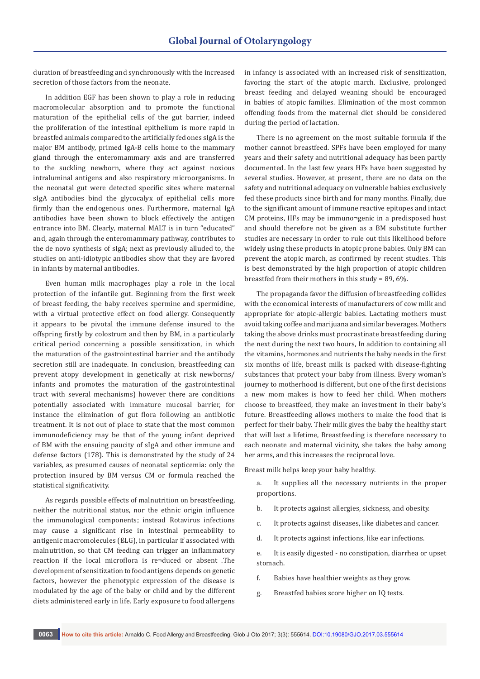duration of breastfeeding and synchronously with the increased secretion of those factors from the neonate.

In addition EGF has been shown to play a role in reducing macromolecular absorption and to promote the functional maturation of the epithelial cells of the gut barrier, indeed the proliferation of the intestinal epithelium is more rapid in breastfed animals compared to the artificially fed ones sIgA is the major BM antibody, primed IgA-B cells home to the mammary gland through the enteromammary axis and are transferred to the suckling newborn, where they act against noxious intraluminal antigens and also respiratory microorganisms. In the neonatal gut were detected specific sites where maternal sIgA antibodies bind the glycocalyx of epithelial cells more firmly than the endogenous ones. Furthermore, maternal IgA antibodies have been shown to block effectively the antigen entrance into BM. Clearly, maternal MALT is in turn "educated" and, again through the enteromammary pathway, contributes to the de novo synthesis of sIgA; next as previously alluded to, the studies on anti-idiotypic antibodies show that they are favored in infants by maternal antibodies.

Even human milk macrophages play a role in the local protection of the infantile gut. Beginning from the first week of breast feeding, the baby receives spermine and spermidine, with a virtual protective effect on food allergy. Consequently it appears to be pivotal the immune defense insured to the offspring firstly by colostrum and then by BM, in a particularly critical period concerning a possible sensitization, in which the maturation of the gastrointestinal barrier and the antibody secretion still are inadequate. In conclusion, breastfeeding can prevent atopy development in genetically at risk newborns/ infants and promotes the maturation of the gastrointestinal tract with several mechanisms) however there are conditions potentially associated with immature mucosal barrier, for instance the elimination of gut flora following an antibiotic treatment. It is not out of place to state that the most common immunodeficiency may be that of the young infant deprived of BM with the ensuing paucity of sIgA and other immune and defense factors (178). This is demonstrated by the study of 24 variables, as presumed causes of neonatal septicemia: only the protection insured by BM versus CM or formula reached the statistical significativity.

As regards possible effects of malnutrition on breastfeeding, neither the nutritional status, nor the ethnic origin influence the immunological components; instead Rotavirus infections may cause a significant rise in intestinal permeability to antigenic macromolecules (ßLG), in particular if associated with malnutrition, so that CM feeding can trigger an inflammatory reaction if the local microflora is re¬duced or absent .The development of sensitization to food antigens depends on genetic factors, however the phenotypic expression of the disease is modulated by the age of the baby or child and by the different diets administered early in life. Early exposure to food allergens in infancy is associated with an increased risk of sensitization, favoring the start of the atopic march. Exclusive, prolonged breast feeding and delayed weaning should be encouraged in babies of atopic families. Elimination of the most common offending foods from the maternal diet should be considered during the period of lactation.

There is no agreement on the most suitable formula if the mother cannot breastfeed. SPFs have been employed for many years and their safety and nutritional adequacy has been partly documented. In the last few years HFs have been suggested by several studies. However, at present, there are no data on the safety and nutritional adequacy on vulnerable babies exclusively fed these products since birth and for many months. Finally, due to the significant amount of immune reactive epitopes and intact CM proteins, HFs may be immuno¬genic in a predisposed host and should therefore not be given as a BM substitute further studies are necessary in order to rule out this likelihood before widely using these products in atopic prone babies. Only BM can prevent the atopic march, as confirmed by recent studies. This is best demonstrated by the high proportion of atopic children breastfed from their mothers in this study = 89, 6%.

The propaganda favor the diffusion of breastfeeding collides with the economical interests of manufacturers of cow milk and appropriate for atopic-allergic babies. Lactating mothers must avoid taking coffee and marijuana and similar beverages. Mothers taking the above drinks must procrastinate breastfeeding during the next during the next two hours, In addition to containing all the vitamins, hormones and nutrients the baby needs in the first six months of life, breast milk is packed with disease-fighting substances that protect your baby from illness. Every woman's journey to motherhood is different, but one of the first decisions a new mom makes is how to feed her child. When mothers choose to breastfeed, they make an investment in their baby's future. Breastfeeding allows mothers to make the food that is perfect for their baby. Their milk gives the baby the healthy start that will last a lifetime, Breastfeeding is therefore necessary to each neonate and maternal vicinity, she takes the baby among her arms, and this increases the reciprocal love.

Breast milk helps keep your baby healthy.

a. It supplies all the necessary nutrients in the proper proportions.

- b. It protects against allergies, sickness, and obesity.
- c. It protects against diseases, like diabetes and cancer.
- d. It protects against infections, like ear infections.

e. It is easily digested - no constipation, diarrhea or upset stomach.

- f. Babies have healthier weights as they grow.
- g. Breastfed babies score higher on IQ tests.